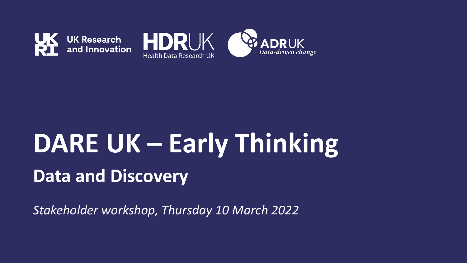



# **DARE UK – Early Thinking Data and Discovery**

*Stakeholder workshop, Thursday 10 March 2022*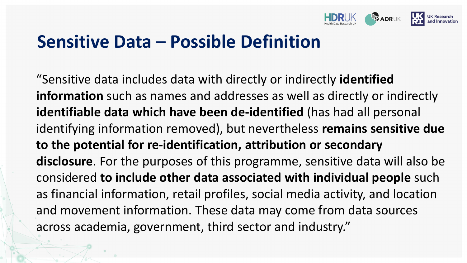

### **Sensitive Data – Possible Definition**

"Sensitive data includes data with directly or indirectly **identified information** such as names and addresses as well as directly or indirectly **identifiable data which have been de-identified** (has had all personal identifying information removed), but nevertheless **remains sensitive due to the potential for re-identification, attribution or secondary disclosure**. For the purposes of this programme, sensitive data will also be considered **to include other data associated with individual people** such as financial information, retail profiles, social media activity, and location and movement information. These data may come from data sources across academia, government, third sector and industry."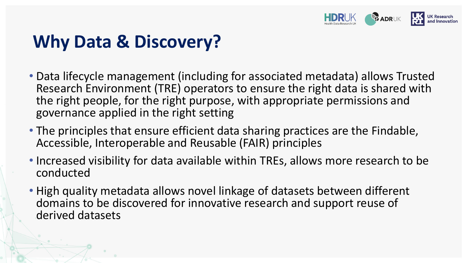

# **Why Data & Discovery?**

- Data lifecycle management (including for associated metadata) allows Trusted Research Environment (TRE) operators to ensure the right data is shared with the right people, for the right purpose, with appropriate permissions and governance applied in the right setting
- The principles that ensure efficient data sharing practices are the Findable, Accessible, Interoperable and Reusable (FAIR) principles
- Increased visibility for data available within TREs, allows more research to be conducted
- High quality metadata allows novel linkage of datasets between different domains to be discovered for innovative research and support reuse of derived datasets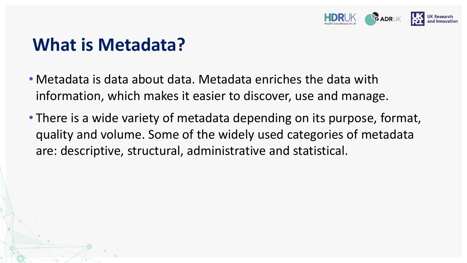

### **What is Metadata?**

- Metadata is data about data. Metadata enriches the data with information, which makes it easier to discover, use and manage.
- There is a wide variety of metadata depending on its purpose, format, quality and volume. Some of the widely used categories of metadata are: descriptive, structural, administrative and statistical.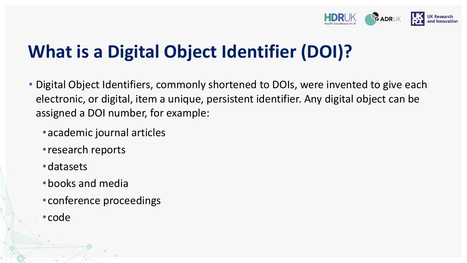

# **What is a Digital Object Identifier (DOI)?**

- Digital Object Identifiers, commonly shortened to DOIs, were invented to give each electronic, or digital, item a unique, persistent identifier. Any digital object can be assigned a DOI number, for example:
	- •academic journal articles
	- •research reports
	- •datasets
	- •books and media
	- •conference proceedings
	- •code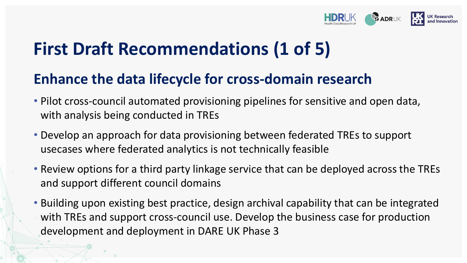

# **First Draft Recommendations (1 of 5)**

#### **Enhance the data lifecycle for cross-domain research**

- Pilot cross-council automated provisioning pipelines for sensitive and open data, with analysis being conducted in TREs
- Develop an approach for data provisioning between federated TREs to support usecases where federated analytics is not technically feasible
- Review options for a third party linkage service that can be deployed across the TREs and support different council domains
- Building upon existing best practice, design archival capability that can be integrated with TREs and support cross-council use. Develop the business case for production development and deployment in DARE UK Phase 3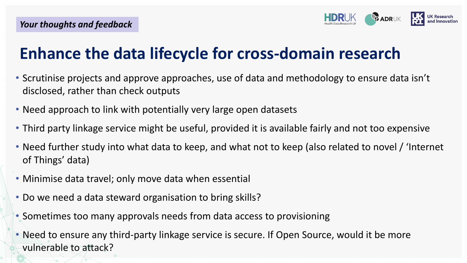

### **Enhance the data lifecycle for cross-domain research**

- Scrutinise projects and approve approaches, use of data and methodology to ensure data isn't disclosed, rather than check outputs
- Need approach to link with potentially very large open datasets
- Third party linkage service might be useful, provided it is available fairly and not too expensive
- Need further study into what data to keep, and what not to keep (also related to novel / 'Internet of Things' data)
- Minimise data travel; only move data when essential
- Do we need a data steward organisation to bring skills?
- Sometimes too many approvals needs from data access to provisioning
- Need to ensure any third-party linkage service is secure. If Open Source, would it be more vulnerable to attack?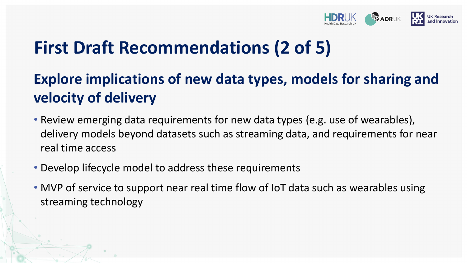

### **First Draft Recommendations (2 of 5)**

### **Explore implications of new data types, models for sharing and velocity of delivery**

- Review emerging data requirements for new data types (e.g. use of wearables), delivery models beyond datasets such as streaming data, and requirements for near real time access
- Develop lifecycle model to address these requirements
- MVP of service to support near real time flow of IoT data such as wearables using streaming technology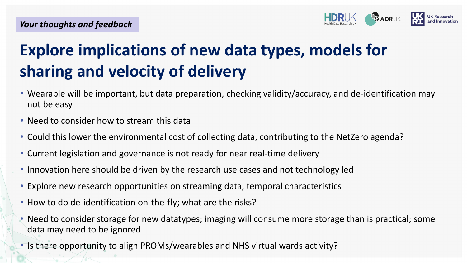

### **Explore implications of new data types, models for sharing and velocity of delivery**

- Wearable will be important, but data preparation, checking validity/accuracy, and de-identification may not be easy
- Need to consider how to stream this data
- Could this lower the environmental cost of collecting data, contributing to the NetZero agenda?
- Current legislation and governance is not ready for near real-time delivery
- Innovation here should be driven by the research use cases and not technology led
- Explore new research opportunities on streaming data, temporal characteristics
- How to do de-identification on-the-fly; what are the risks?
- Need to consider storage for new datatypes; imaging will consume more storage than is practical; some data may need to be ignored
- Is there opportunity to align PROMs/wearables and NHS virtual wards activity?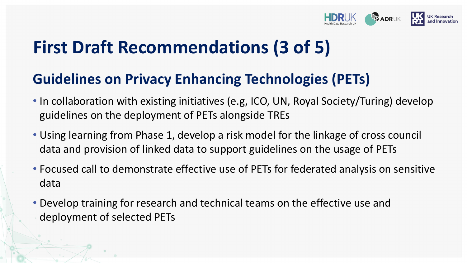

# **First Draft Recommendations (3 of 5)**

#### **Guidelines on Privacy Enhancing Technologies (PETs)**

- In collaboration with existing initiatives (e.g, ICO, UN, Royal Society/Turing) develop guidelines on the deployment of PETs alongside TREs
- Using learning from Phase 1, develop a risk model for the linkage of cross council data and provision of linked data to support guidelines on the usage of PETs
- Focused call to demonstrate effective use of PETs for federated analysis on sensitive data
- Develop training for research and technical teams on the effective use and deployment of selected PETs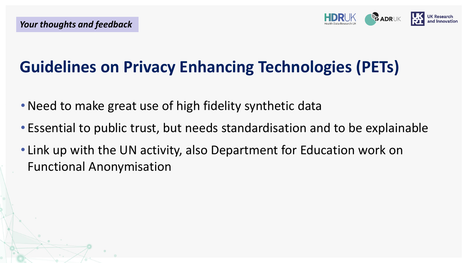

### **Guidelines on Privacy Enhancing Technologies (PETs)**

- Need to make great use of high fidelity synthetic data
- Essential to public trust, but needs standardisation and to be explainable
- Link up with the UN activity, also Department for Education work on Functional Anonymisation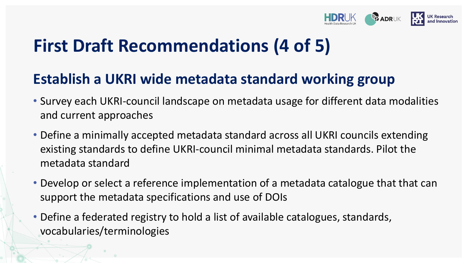

## **First Draft Recommendations (4 of 5)**

#### **Establish a UKRI wide metadata standard working group**

- Survey each UKRI-council landscape on metadata usage for different data modalities and current approaches
- Define a minimally accepted metadata standard across all UKRI councils extending existing standards to define UKRI-council minimal metadata standards. Pilot the metadata standard
- Develop or select a reference implementation of a metadata catalogue that that can support the metadata specifications and use of DOIs
- Define a federated registry to hold a list of available catalogues, standards, vocabularies/terminologies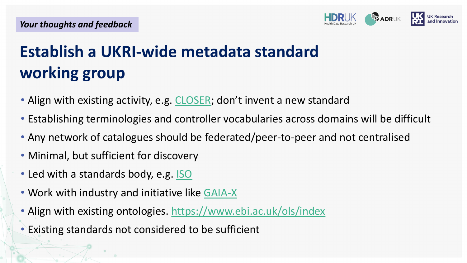

# **Establish a UKRI-wide metadata standard working group**

- Align with existing activity, e.g. [CLOSER](https://www.closer.ac.uk/); don't invent a new standard
- Establishing terminologies and controller vocabularies across domains will be difficult
- Any network of catalogues should be federated/peer-to-peer and not centralised
- Minimal, but sufficient for discovery
- Led with a standards body, e.g. [ISO](https://www.iso.org/standards.html)
- Work with industry and initiative like [GAIA-X](https://www.data-infrastructure.eu/GAIAX/Navigation/EN/Home/home.html)
- Align with existing ontologies.<https://www.ebi.ac.uk/ols/index>
- Existing standards not considered to be sufficient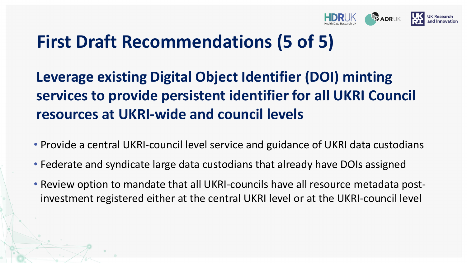

## **First Draft Recommendations (5 of 5)**

### **Leverage existing Digital Object Identifier (DOI) minting services to provide persistent identifier for all UKRI Council resources at UKRI-wide and council levels**

- Provide a central UKRI-council level service and guidance of UKRI data custodians
- Federate and syndicate large data custodians that already have DOIs assigned
- Review option to mandate that all UKRI-councils have all resource metadata postinvestment registered either at the central UKRI level or at the UKRI-council level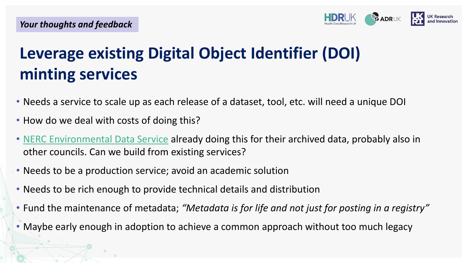

### **Leverage existing Digital Object Identifier (DOI) minting services**

- Needs a service to scale up as each release of a dataset, tool, etc. will need a unique DOI
- How do we deal with costs of doing this?
- [NERC Environmental Data Service](https://eds.ukri.org/) already doing this for their archived data, probably also in other councils. Can we build from existing services?
- Needs to be a production service; avoid an academic solution
- Needs to be rich enough to provide technical details and distribution
- Fund the maintenance of metadata; *"Metadata is for life and not just for posting in a registry"*
- Maybe early enough in adoption to achieve a common approach without too much legacy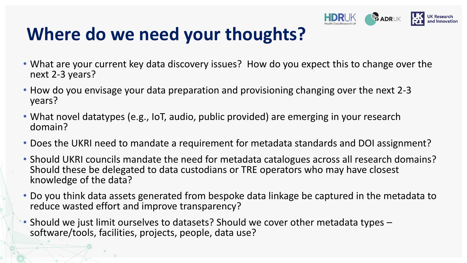

# **Where do we need your thoughts?**

- What are your current key data discovery issues? How do you expect this to change over the next 2-3 years?
- How do you envisage your data preparation and provisioning changing over the next 2-3 years?
- What novel datatypes (e.g., IoT, audio, public provided) are emerging in your research domain?
- Does the UKRI need to mandate a requirement for metadata standards and DOI assignment?
- Should UKRI councils mandate the need for metadata catalogues across all research domains? Should these be delegated to data custodians or TRE operators who may have closest knowledge of the data?
- Do you think data assets generated from bespoke data linkage be captured in the metadata to reduce wasted effort and improve transparency?
- Should we just limit ourselves to datasets? Should we cover other metadata types software/tools, facilities, projects, people, data use?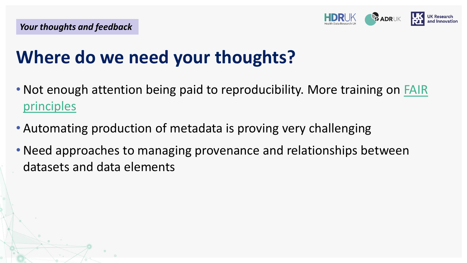

# **Where do we need your thoughts?**

- Not enough attention being paid to reproducibility. More training on FAIR principles
- Automating production of metadata is proving very challenging
- •Need approaches to managing provenance and relationships between datasets and data elements